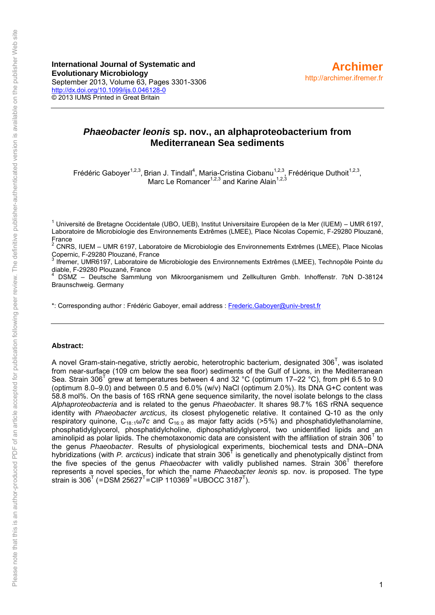**International Journal of Systematic and Evolutionary Microbiology** September 2013, Volume 63, Pages 3301-3306 <http://dx.doi.org/10.1099/ijs.0.046128-0> © 2013 IUMS Printed in Great Britain

# *Phaeobacter leonis* **sp. nov., an alphaproteobacterium from Mediterranean Sea sediments**

Frédéric Gaboyer<sup>1,2,3</sup>, Brian J. Tindall<sup>4</sup>, Maria-Cristina Ciobanu<sup>1,2,3</sup>, Frédérique Duthoit<sup>1,2,3</sup>, Marc Le Romancer<sup>1,2,3</sup> and Karine Alain<sup>1,2,3</sup>

<sup>1</sup> Université de Bretagne Occidentale (UBO, UEB), Institut Universitaire Européen de la Mer (IUEM) – UMR 6197, Laboratoire de Microbiologie des Environnements Extrêmes (LMEE), Place Nicolas Copernic, F-29280 Plouzané, France

 $2$  CNRS, IUEM – UMR 6197, Laboratoire de Microbiologie des Environnements Extrêmes (LMEE), Place Nicolas Copernic, F-29280 Plouzané, France

3 Ifremer, UMR6197, Laboratoire de Microbiologie des Environnements Extrêmes (LMEE), Technopôle Pointe du diable, F-29280 Plouzané, France

4 DSMZ – Deutsche Sammlung von Mikroorganismem und Zellkulturen Gmbh. Inhoffenstr. 7bN D-38124 Braunschweig. Germany

\*: Corresponding author : Frédéric Gaboyer, email address : [Frederic.Gaboyer@univ-brest.fr](mailto:Frederic.Gaboyer@univ-brest.fr)

#### **Abstract:**

A novel Gram-stain-negative, strictly aerobic, heterotrophic bacterium, designated 306<sup>T</sup>, was isolated from near-surface (109 cm below the sea floor) sediments of the Gulf of Lions, in the Mediterranean Sea. Strain 306<sup>T</sup> grew at temperatures between 4 and 32 °C (optimum 17–22 °C), from pH 6.5 to 9.0 (optimum 8.0–9.0) and between 0.5 and 6.0 % (w/v) NaCl (optimum 2.0 %). Its DNA G+C content was 58.8 mol%. On the basis of 16S rRNA gene sequence similarity, the novel isolate belongs to the class *[Alphaproteobacteria](doi:10.1601/nm.809)* and is related to the genus *[Phaeobacter](doi:10.1601/nm.10131)*. It shares 98.7 % 16S rRNA sequence identity with *[Phaeobacter arcticus,](doi:10.1601/nm.14057)* its closest phylogenetic relative. It contained Q-10 as the only respiratory quinone, C<sub>18</sub><sup>1</sup>w<sub>1</sub>c and C<sub>16</sub><sup>1</sup> as major fatty acids (>5<sup>%</sup>) and phosphatidylethanolamine, phosphatidylglycerol, phosphatidylcholine, diphosphatidylglycerol, two unidentified lipids and an aminolipid as polar lipids. The chemotaxonomic data are consistent with the affiliation of strain 306<sup>T</sup> to the genus *[Phaeobacter](doi:10.1601/nm.10131)*. Results of physiological experiments, biochemical tests and DNA–DNA hybridizations (with [P. arcticus](doi:10.1601/nm.14057)) indicate that strain 306<sup>T</sup> is genetically and phenotypically distinct from the five species of the genus *[Phaeobacter](doi:10.1601/nm.10131)* with validly published names. Strain 306<sup>T</sup> therefore represents a novel species, for which the name *Phaeobacter leonis* sp. nov. is proposed. The type strain is 306 $^{\text{\tiny{\textsf{T}}}}$  (=DSM 25627 $^{\text{\tiny{\textsf{T}}}}$ =CIP 110369 $^{\text{\tiny{\textsf{T}}}}$ =UBOCC 3187 $^{\text{\tiny{\textsf{T}}}}$ ).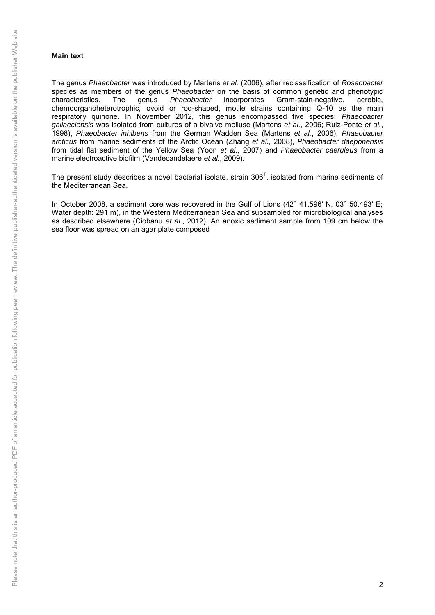## **Main text**

The genus *[Phaeobacter](doi:10.1601/nm.10131)* was introduced by [Martens](http://ijs.sgmjournals.org/content/63/Pt_9/3301.full#ref-9) *et al.* (2006), after reclassification of *[Roseobacter](doi:10.1601/nm.1134)* species as members of the genus *[Phaeobacter](doi:10.1601/nm.10131)* on the basis of common genetic and phenotypic characteristics. The genus *Phaeobacter* incorporates Gram-stain-negative, aerobic, characteristics. The genus *[Phaeobacter](doi:10.1601/nm.10131)* incorporates Gram-stain-negative, aerobic, chemoorganoheterotrophic, ovoid or rod-shaped, motile strains containing Q-10 as the main respiratory quinone. In November 2012, this genus encompassed five species: *[Phaeobacter](doi:10.1601/nm.9798)  [gallaeciensis](doi:10.1601/nm.9798)* was isolated from cultures of a bivalve mollusc [\(Martens](http://ijs.sgmjournals.org/content/63/Pt_9/3301.full#ref-9) *et al.*, 2006; [Ruiz-Ponte](http://ijs.sgmjournals.org/content/63/Pt_9/3301.full#ref-11) *et al.*, [1998\)](http://ijs.sgmjournals.org/content/63/Pt_9/3301.full#ref-11), *[Phaeobacter inhibens](doi:10.1601/nm.10132)* from the German Wadden Sea [\(Martens](http://ijs.sgmjournals.org/content/63/Pt_9/3301.full#ref-9) *et al.*, 2006), *[Phaeobacter](doi:10.1601/nm.14057)  [arcticus](doi:10.1601/nm.14057)* from marine sediments of the Arctic Ocean [\(Zhang](http://ijs.sgmjournals.org/content/63/Pt_9/3301.full#ref-18) *et al.*, 2008), *[Phaeobacter daeponensis](doi:10.1601/nm.10944)* from tidal flat sediment of the Yellow Sea (Yoon *et al.*[, 2007\)](http://ijs.sgmjournals.org/content/63/Pt_9/3301.full#ref-17) and *[Phaeobacter caeruleus](doi:10.1601/nm.14301)* from a marine electroactive biofilm [\(Vandecandelaere](http://ijs.sgmjournals.org/content/63/Pt_9/3301.full#ref-16) *et al.*, 2009).

The present study describes a novel bacterial isolate, strain  $306<sup>T</sup>$ , isolated from marine sediments of the Mediterranean Sea.

In October 2008, a sediment core was recovered in the Gulf of Lions (42° 41.596' N, 03° 50.493' E; Water depth: 291 m), in the Western Mediterranean Sea and subsampled for microbiological analyses as described elsewhere [\(Ciobanu](http://ijs.sgmjournals.org/content/63/Pt_9/3301.full#ref-3) *et al.*, 2012). An anoxic sediment sample from 109 cm below the sea floor was spread on an agar plate composed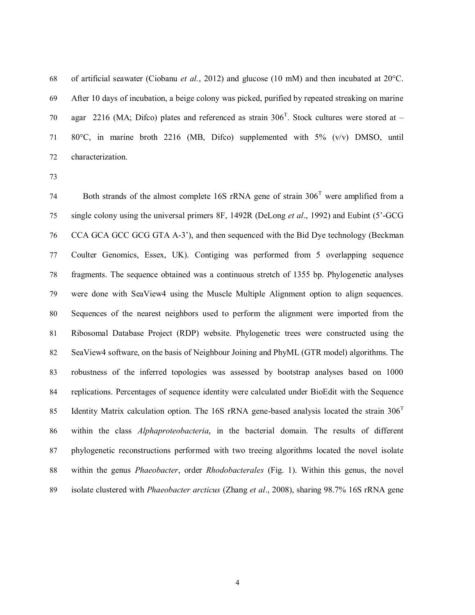of artificial seawater (Ciobanu *et al.*, 2012) and glucose (10 mM) and then incubated at 20°C. After 10 days of incubation, a beige colony was picked, purified by repeated streaking on marine 70 agar 2216 (MA; Difco) plates and referenced as strain  $306^{\text{T}}$ . Stock cultures were stored at  $-$  80°C, in marine broth 2216 (MB, Difco) supplemented with 5% (v/v) DMSO, until characterization.

74 Both strands of the almost complete 16S rRNA gene of strain  $306<sup>T</sup>$  were amplified from a single colony using the universal primers 8F, 1492R (DeLong *et al*., 1992) and Eubint (5'-GCG CCA GCA GCC GCG GTA A-3'), and then sequenced with the Bid Dye technology (Beckman Coulter Genomics, Essex, UK). Contiging was performed from 5 overlapping sequence fragments. The sequence obtained was a continuous stretch of 1355 bp. Phylogenetic analyses were done with SeaView4 using the Muscle Multiple Alignment option to align sequences. Sequences of the nearest neighbors used to perform the alignment were imported from the Ribosomal Database Project (RDP) website. Phylogenetic trees were constructed using the SeaView4 software, on the basis of Neighbour Joining and PhyML (GTR model) algorithms. The robustness of the inferred topologies was assessed by bootstrap analyses based on 1000 replications. Percentages of sequence identity were calculated under BioEdit with the Sequence Identity Matrix calculation option. The 16S rRNA gene-based analysis located the strain  $306<sup>T</sup>$  within the class *Alphaproteobacteria*, in the bacterial domain. The results of different phylogenetic reconstructions performed with two treeing algorithms located the novel isolate within the genus *Phaeobacter*, order *Rhodobacterales* (Fig. 1). Within this genus, the novel isolate clustered with *Phaeobacter arcticus* (Zhang *et al*., 2008), sharing 98.7% 16S rRNA gene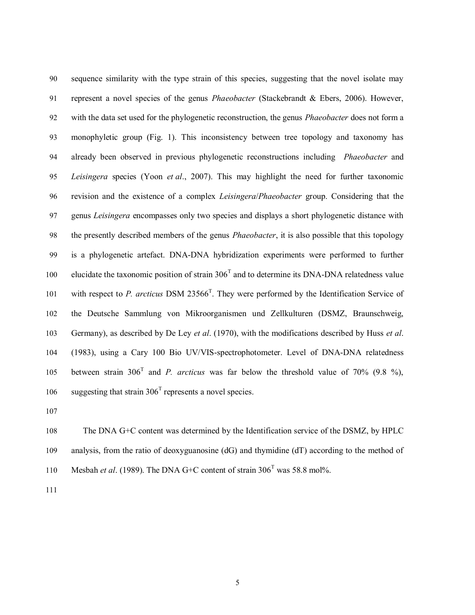sequence similarity with the type strain of this species, suggesting that the novel isolate may represent a novel species of the genus *Phaeobacter* (Stackebrandt & Ebers, 2006). However, with the data set used for the phylogenetic reconstruction, the genus *Phaeobacter* does not form a monophyletic group (Fig. 1). This inconsistency between tree topology and taxonomy has already been observed in previous phylogenetic reconstructions including *Phaeobacter* and *Leisingera* species (Yoon *et al*., 2007). This may highlight the need for further taxonomic revision and the existence of a complex *Leisingera*/*Phaeobacter* group. Considering that the genus *Leisingera* encompasses only two species and displays a short phylogenetic distance with the presently described members of the genus *Phaeobacter*, it is also possible that this topology is a phylogenetic artefact. DNA-DNA hybridization experiments were performed to further 100 elucidate the taxonomic position of strain  $306<sup>T</sup>$  and to determine its DNA-DNA relatedness value 101 with respect to *P. arcticus* DSM 23566<sup>T</sup>. They were performed by the Identification Service of the Deutsche Sammlung von Mikroorganismen und Zellkulturen (DSMZ, Braunschweig, Germany), as described by De Ley *et al*. (1970), with the modifications described by Huss *et al*. (1983), using a Cary 100 Bio UV/VIS-spectrophotometer. Level of DNA-DNA relatedness 105 between strain  $306^{\text{T}}$  and *P. arcticus* was far below the threshold value of 70% (9.8 %), 106 suggesting that strain  $306<sup>T</sup>$  represents a novel species.

 The DNA G+C content was determined by the Identification service of the DSMZ, by HPLC analysis, from the ratio of deoxyguanosine (dG) and thymidine (dT) according to the method of 110 Mesbah *et al.* (1989). The DNA G+C content of strain  $306^{\text{T}}$  was 58.8 mol%.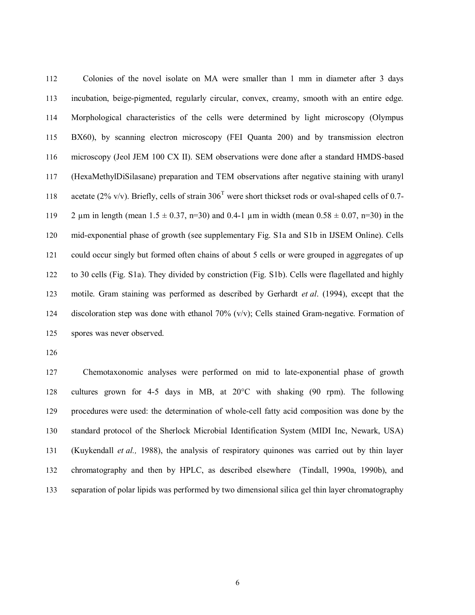Colonies of the novel isolate on MA were smaller than 1 mm in diameter after 3 days incubation, beige-pigmented, regularly circular, convex, creamy, smooth with an entire edge. Morphological characteristics of the cells were determined by light microscopy (Olympus BX60), by scanning electron microscopy (FEI Quanta 200) and by transmission electron microscopy (Jeol JEM 100 CX II). SEM observations were done after a standard HMDS-based (HexaMethylDiSilasane) preparation and TEM observations after negative staining with uranyl 118 acetate (2% v/v). Briefly, cells of strain  $306<sup>T</sup>$  were short thickset rods or oval-shaped cells of 0.7-119 2  $\mu$ m in length (mean 1.5  $\pm$  0.37, n=30) and 0.4-1  $\mu$ m in width (mean 0.58  $\pm$  0.07, n=30) in the mid-exponential phase of growth (see supplementary Fig. S1a and S1b in IJSEM Online). Cells could occur singly but formed often chains of about 5 cells or were grouped in aggregates of up to 30 cells (Fig. S1a). They divided by constriction (Fig. S1b). Cells were flagellated and highly motile. Gram staining was performed as described by Gerhardt *et al*. (1994), except that the discoloration step was done with ethanol 70% (v/v); Cells stained Gram-negative. Formation of spores was never observed.

 Chemotaxonomic analyses were performed on mid to late-exponential phase of growth cultures grown for 4-5 days in MB, at 20°C with shaking (90 rpm). The following procedures were used: the determination of whole-cell fatty acid composition was done by the standard protocol of the Sherlock Microbial Identification System (MIDI Inc, Newark, USA) (Kuykendall *et al.,* 1988), the analysis of respiratory quinones was carried out by thin layer chromatography and then by HPLC, as described elsewhere (Tindall, 1990a, 1990b), and separation of polar lipids was performed by two dimensional silica gel thin layer chromatography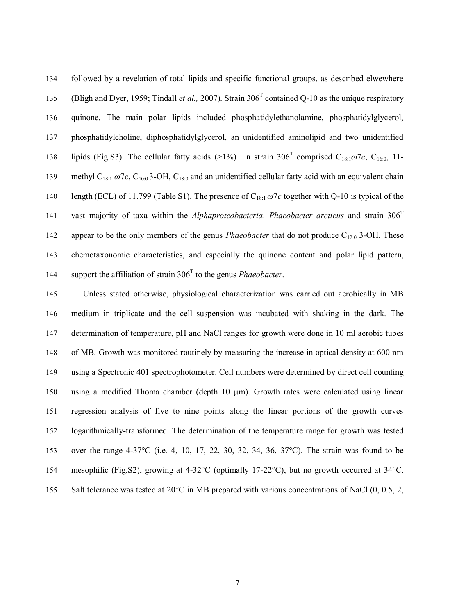followed by a revelation of total lipids and specific functional groups, as described elwewhere 135 (Bligh and Dyer, 1959; Tindall *et al.*, 2007). Strain 306<sup>T</sup> contained Q-10 as the unique respiratory quinone. The main polar lipids included phosphatidylethanolamine, phosphatidylglycerol, phosphatidylcholine, diphosphatidylglycerol, an unidentified aminolipid and two unidentified 138 lipids (Fig.S3). The cellular fatty acids (>1%) in strain  $306^{\text{T}}$  comprised C<sub>18:1</sub> $\omega$ 7*c*, C<sub>16:0</sub>, 11-139 methyl C<sub>18:1</sub> ω7*c*, C<sub>10:0</sub> 3-OH, C<sub>18:0</sub> and an unidentified cellular fatty acid with an equivalent chain length (ECL) of 11.799 (Table S1). The presence of C18:1 *ω*7*c* together with Q-10 is typical of the vast majority of taxa within the *Alphaproteobacteria*. *Phaeobacter arcticus* and strain 306<sup>T</sup> 142 appear to be the only members of the genus *Phaeobacter* that do not produce  $C_{12:0}$  3-OH. These chemotaxonomic characteristics, and especially the quinone content and polar lipid pattern, 144 support the affiliation of strain  $306<sup>T</sup>$  to the genus *Phaeobacter*.

 Unless stated otherwise, physiological characterization was carried out aerobically in MB medium in triplicate and the cell suspension was incubated with shaking in the dark. The determination of temperature, pH and NaCl ranges for growth were done in 10 ml aerobic tubes of MB. Growth was monitored routinely by measuring the increase in optical density at 600 nm using a Spectronic 401 spectrophotometer. Cell numbers were determined by direct cell counting using a modified Thoma chamber (depth 10 μm). Growth rates were calculated using linear regression analysis of five to nine points along the linear portions of the growth curves logarithmically-transformed. The determination of the temperature range for growth was tested over the range 4-37°C (i.e. 4, 10, 17, 22, 30, 32, 34, 36, 37°C). The strain was found to be mesophilic (Fig.S2), growing at 4-32°C (optimally 17-22°C), but no growth occurred at 34°C. 155 Salt tolerance was tested at 20 $\degree$ C in MB prepared with various concentrations of NaCl (0, 0.5, 2,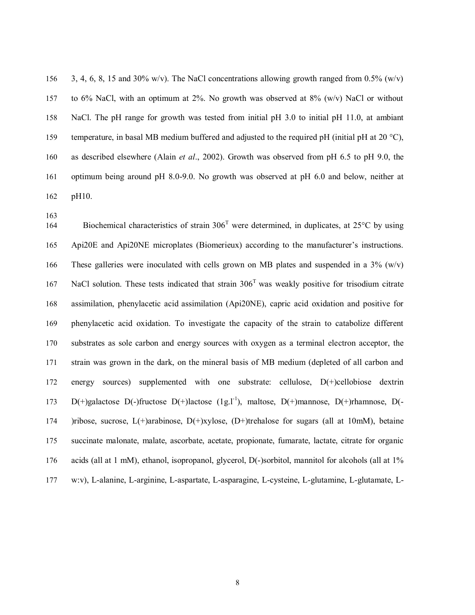156 3, 4, 6, 8, 15 and 30% w/v). The NaCl concentrations allowing growth ranged from 0.5% (w/v) to 6% NaCl, with an optimum at 2%. No growth was observed at 8% (w/v) NaCl or without NaCl. The pH range for growth was tested from initial pH 3.0 to initial pH 11.0, at ambiant 159 temperature, in basal MB medium buffered and adjusted to the required pH (initial pH at 20  $^{\circ}$ C), as described elsewhere (Alain *et al*., 2002). Growth was observed from pH 6.5 to pH 9.0, the optimum being around pH 8.0-9.0. No growth was observed at pH 6.0 and below, neither at pH10.

164 Biochemical characteristics of strain  $306<sup>T</sup>$  were determined, in duplicates, at  $25<sup>o</sup>C$  by using Api20E and Api20NE microplates (Biomerieux) according to the manufacturer's instructions. 166 These galleries were inoculated with cells grown on MB plates and suspended in a  $3\%$  (w/v) 167 NaCl solution. These tests indicated that strain  $306<sup>T</sup>$  was weakly positive for trisodium citrate assimilation, phenylacetic acid assimilation (Api20NE), capric acid oxidation and positive for phenylacetic acid oxidation. To investigate the capacity of the strain to catabolize different substrates as sole carbon and energy sources with oxygen as a terminal electron acceptor, the strain was grown in the dark, on the mineral basis of MB medium (depleted of all carbon and energy sources) supplemented with one substrate: cellulose, D(+)cellobiose dextrin 173 D(+)galactose D(-)fructose D(+)lactose (1g.l<sup>-1</sup>), maltose, D(+)mannose, D(+)rhamnose, D(- )ribose, sucrose, L(+)arabinose, D(+)xylose, (D+)trehalose for sugars (all at 10mM), betaine succinate malonate, malate, ascorbate, acetate, propionate, fumarate, lactate, citrate for organic acids (all at 1 mM), ethanol, isopropanol, glycerol, D(-)sorbitol, mannitol for alcohols (all at 1% w:v), L-alanine, L-arginine, L-aspartate, L-asparagine, L-cysteine, L-glutamine, L-glutamate, L-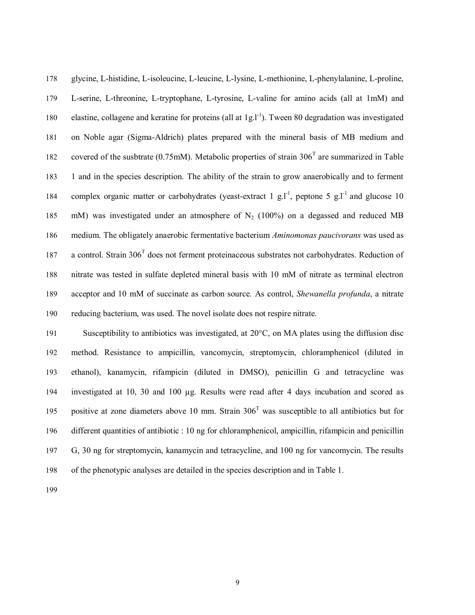glycine, L-histidine, L-isoleucine, L-leucine, L-lysine, L-methionine, L-phenylalanine, L-proline, L-serine, L-threonine, L-tryptophane, L-tyrosine, L-valine for amino acids (all at 1mM) and 180 elastine, collagene and keratine for proteins (all at  $1g.l^{-1}$ ). Tween 80 degradation was investigated on Noble agar (Sigma-Aldrich) plates prepared with the mineral basis of MB medium and 182 covered of the susbtrate (0.75mM). Metabolic properties of strain  $306<sup>T</sup>$  are summarized in Table 1 and in the species description. The ability of the strain to grow anaerobically and to ferment 184 complex organic matter or carbohydrates (yeast-extract 1  $g.l^{-1}$ , peptone 5  $g.l^{-1}$  and glucose 10 185 mM) was investigated under an atmosphere of  $N_2$  (100%) on a degassed and reduced MB medium. The obligately anaerobic fermentative bacterium *Aminomonas paucivorans* was used as 187 a control. Strain 306<sup>T</sup> does not ferment proteinaceous substrates not carbohydrates. Reduction of nitrate was tested in sulfate depleted mineral basis with 10 mM of nitrate as terminal electron acceptor and 10 mM of succinate as carbon source. As control, *Shewanella profunda*, a nitrate reducing bacterium, was used. The novel isolate does not respire nitrate.

 Susceptibility to antibiotics was investigated, at 20°C, on MA plates using the diffusion disc method. Resistance to ampicillin, vancomycin, streptomycin, chloramphenicol (diluted in ethanol), kanamycin, rifampicin (diluted in DMSO), penicillin G and tetracycline was investigated at 10, 30 and 100 µg. Results were read after 4 days incubation and scored as 195 positive at zone diameters above 10 mm. Strain  $306<sup>T</sup>$  was susceptible to all antibiotics but for different quantities of antibiotic : 10 ng for chloramphenicol, ampicillin, rifampicin and penicillin G, 30 ng for streptomycin, kanamycin and tetracycline, and 100 ng for vancomycin. The results of the phenotypic analyses are detailed in the species description and in Table 1.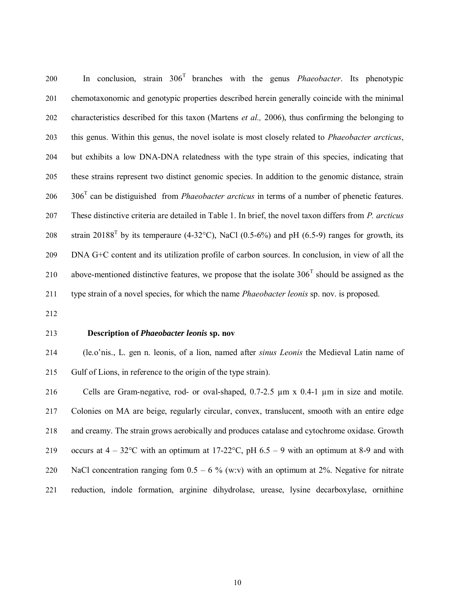$\blacksquare$  In conclusion, strain  $306<sup>T</sup>$  branches with the genus *Phaeobacter*. Its phenotypic chemotaxonomic and genotypic properties described herein generally coincide with the minimal characteristics described for this taxon (Martens *et al.,* 2006), thus confirming the belonging to this genus. Within this genus, the novel isolate is most closely related to *Phaeobacter arcticus*, but exhibits a low DNA-DNA relatedness with the type strain of this species, indicating that these strains represent two distinct genomic species. In addition to the genomic distance, strain  $306<sup>T</sup>$  can be distiguished from *Phaeobacter arcticus* in terms of a number of phenetic features. These distinctive criteria are detailed in Table 1. In brief, the novel taxon differs from *P. arcticus* 208 strain 20188<sup>T</sup> by its temperaure (4-32°C), NaCl (0.5-6%) and pH (6.5-9) ranges for growth, its DNA G+C content and its utilization profile of carbon sources. In conclusion, in view of all the 210 above-mentioned distinctive features, we propose that the isolate  $306<sup>T</sup>$  should be assigned as the type strain of a novel species, for which the name *Phaeobacter leonis* sp. nov. is proposed.

### **Description of** *Phaeobacter leonis* **sp. nov**

 (le.o'nis., L. gen n. leonis, of a lion, named after *sinus Leonis* the Medieval Latin name of Gulf of Lions, in reference to the origin of the type strain).

 Cells are Gram-negative, rod- or oval-shaped, 0.7-2.5 µm x 0.4-1 µm in size and motile. Colonies on MA are beige, regularly circular, convex, translucent, smooth with an entire edge and creamy. The strain grows aerobically and produces catalase and cytochrome oxidase. Growth 219 occurs at  $4 - 32^{\circ}\text{C}$  with an optimum at  $17\text{-}22^{\circ}\text{C}$ , pH  $6.5 - 9$  with an optimum at 8-9 and with 220 NaCl concentration ranging fom  $0.5 - 6 %$  (w:v) with an optimum at 2%. Negative for nitrate reduction, indole formation, arginine dihydrolase, urease, lysine decarboxylase, ornithine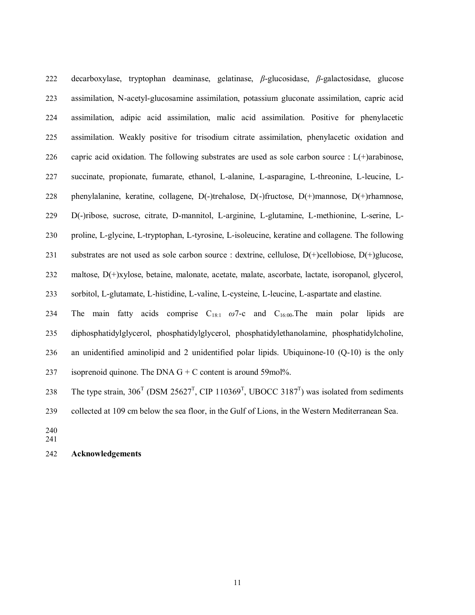decarboxylase, tryptophan deaminase, gelatinase, *β*-glucosidase, *β*-galactosidase, glucose assimilation, N-acetyl-glucosamine assimilation, potassium gluconate assimilation, capric acid assimilation, adipic acid assimilation, malic acid assimilation. Positive for phenylacetic assimilation. Weakly positive for trisodium citrate assimilation, phenylacetic oxidation and 226 capric acid oxidation. The following substrates are used as sole carbon source :  $L(+)$ arabinose, succinate, propionate, fumarate, ethanol, L-alanine, L-asparagine, L-threonine, L-leucine, L- phenylalanine, keratine, collagene, D(-)trehalose, D(-)fructose, D(+)mannose, D(+)rhamnose, D(-)ribose, sucrose, citrate, D-mannitol, L-arginine, L-glutamine, L-methionine, L-serine, L- proline, L-glycine, L-tryptophan, L-tyrosine, L-isoleucine, keratine and collagene. The following substrates are not used as sole carbon source : dextrine, cellulose, D(+)cellobiose, D(+)glucose, maltose, D(+)xylose, betaine, malonate, acetate, malate, ascorbate, lactate, isoropanol, glycerol, sorbitol, L-glutamate, L-histidine, L-valine, L-cysteine, L-leucine, L-aspartate and elastine.

234 The main fatty acids comprise  $C_{18:1}$   $\omega$ 7-c and  $C_{16:00}$ . The main polar lipids are diphosphatidylglycerol, phosphatidylglycerol, phosphatidylethanolamine, phosphatidylcholine, an unidentified aminolipid and 2 unidentified polar lipids. Ubiquinone-10 (Q-10) is the only 237 isoprenoid quinone. The DNA  $G + C$  content is around 59mol%.

238 The type strain,  $306^{\text{T}}$  (DSM  $25627^{\text{T}}$ , CIP  $110369^{\text{T}}$ , UBOCC  $3187^{\text{T}}$ ) was isolated from sediments

collected at 109 cm below the sea floor, in the Gulf of Lions, in the Western Mediterranean Sea.

 

## **Acknowledgements**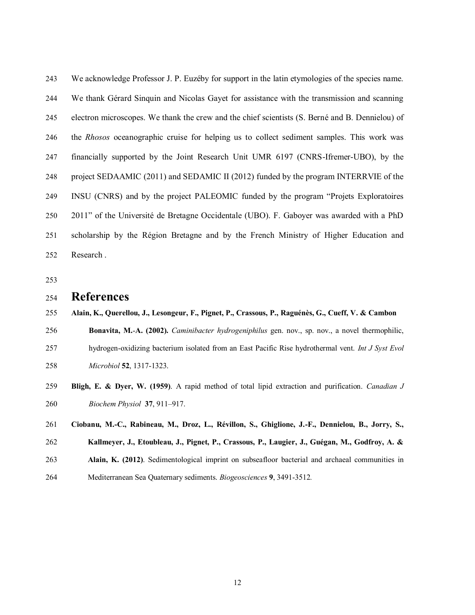We acknowledge Professor J. P. Euzéby for support in the latin etymologies of the species name. We thank Gérard Sinquin and Nicolas Gayet for assistance with the transmission and scanning electron microscopes. We thank the crew and the chief scientists (S. Berné and B. Dennielou) of the *Rhosos* oceanographic cruise for helping us to collect sediment samples. This work was financially supported by the Joint Research Unit UMR 6197 (CNRS-Ifremer-UBO), by the project SEDAAMIC (2011) and SEDAMIC II (2012) funded by the program INTERRVIE of the INSU (CNRS) and by the project PALEOMIC funded by the program "Projets Exploratoires 2011" of the Université de Bretagne Occidentale (UBO). F. Gaboyer was awarded with a PhD scholarship by the Région Bretagne and by the French Ministry of Higher Education and Research .

## **References**

### **Alain, K., Querellou, J., Lesongeur, F., Pignet, P., Crassous, P., Raguénès, G., Cueff, V. & Cambon**

**Bonavita, M.**-**A. (2002).** *Caminibacter hydrogeniphilus* gen. nov., sp. nov., a novel thermophilic,

- hydrogen-oxidizing bacterium isolated from an East Pacific Rise hydrothermal vent. *Int J Syst Evol Microbiol* **52**, 1317-1323.
- **Bligh, E. & Dyer, W. (1959)**. A rapid method of total lipid extraction and purification. *Canadian J Biochem Physiol* **37**, 911–917.
- **Ciobanu, M.-C., Rabineau, M., Droz, L., Révillon, S., Ghiglione, J.-F., Dennielou, B., Jorry, S.,**
- **Kallmeyer, J., Etoubleau, J., Pignet, P., Crassous, P., Laugier, J., Guégan, M., Godfroy, A. &**
- **Alain, K. (2012)**. Sedimentological imprint on subseafloor bacterial and archaeal communities in
- Mediterranean Sea Quaternary sediments. *Biogeosciences* **9**, 3491-3512*.*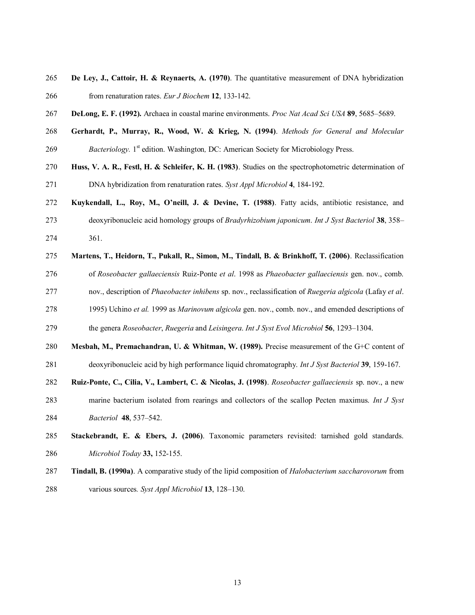- **De Ley, J., Cattoir, H. & Reynaerts, A. (1970)**. The quantitative measurement of DNA hybridization from renaturation rates. *Eur J Biochem* **12**, 133-142.
- **DeLong, E. F. (1992).** Archaea in coastal marine environments. *Proc Nat Acad Sci USA* **89**, 5685–5689.
- **Gerhardt, P., Murray, R., Wood, W. & Krieg, N. (1994)**. *Methods for General and Molecular*  269 Bacteriology. 1<sup>st</sup> edition. Washington, DC: American Society for Microbiology Press.
- **Huss, V. A. R., Festl, H. & Schleifer, K. H. (1983)**. Studies on the spectrophotometric determination of DNA hybridization from renaturation rates. *Syst Appl Microbiol* **4**, 184-192.
- **Kuykendall, L., Roy, M., O'neill, J. & Devine, T. (1988)**. Fatty acids, antibiotic resistance, and
- deoxyribonucleic acid homology groups of *Bradyrhizobium japonicum*. *Int J Syst Bacteriol* **38**, 358– 361.
- **Martens, T., Heidorn, T., Pukall, R., Simon, M., Tindall, B. & Brinkhoff, T. (2006)**. Reclassification of *Roseobacter gallaeciensis* Ruiz-Ponte *et al*. 1998 as *Phaeobacter gallaeciensis* gen. nov., comb. nov., description of *Phaeobacter inhibens* sp. nov., reclassification of *Ruegeria algicola* (Lafay *et al*. 1995) Uchino *et al.* 1999 as *Marinovum algicola* gen. nov., comb. nov., and emended descriptions of
- the genera *Roseobacter*, *Ruegeria* and *Leisingera*. *Int J Syst Evol Microbiol* **56**, 1293–1304.
- **Mesbah, M., Premachandran, U. & Whitman, W. (1989).** Precise measurement of the G+C content of deoxyribonucleic acid by high performance liquid chromatography. *Int J Syst Bacteriol* **39**, 159-167.
- **Ruiz-Ponte, C., Cilia, V., Lambert, C. & Nicolas, J. (1998)**. *Roseobacter gallaeciensis* sp. nov., a new marine bacterium isolated from rearings and collectors of the scallop Pecten maximus. *Int J Syst*
- *Bacteriol* **48**, 537–542.
- **Stackebrandt, E. & Ebers, J. (2006)**. Taxonomic parameters revisited: tarnished gold standards. *Microbiol Today* **33,** 152-155.
- **Tindall, B. (1990a)**. A comparative study of the lipid composition of *Halobacterium saccharovorum* from various sources*. Syst Appl Microbiol* **13**, 128–130.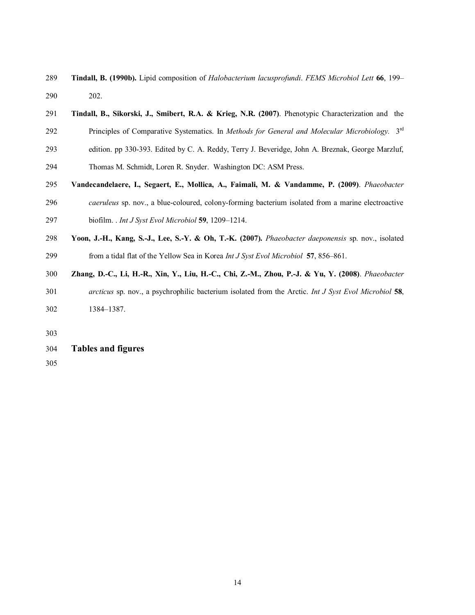- **Tindall, B. (1990b).** Lipid composition of *Halobacterium lacusprofundi*. *FEMS Microbiol Lett* **66**, 199– 202.
- **Tindall, B., Sikorski, J., Smibert, R.A. & Krieg, N.R. (2007)**. Phenotypic Characterization and the 292 **Principles of Comparative Systematics**. In *Methods for General and Molecular Microbiology*. 3<sup>rd</sup>
- edition. pp 330-393. Edited by C. A. Reddy, Terry J. Beveridge, John A. Breznak, George Marzluf,
- Thomas M. Schmidt, Loren R. Snyder. Washington DC: ASM Press.
- **Vandecandelaere, I., Segaert, E., Mollica, A., Faimali, M. & Vandamme, P. (2009)**. *Phaeobacter caeruleus* sp. nov., a blue-coloured, colony-forming bacterium isolated from a marine electroactive biofilm. . *Int J Syst Evol Microbiol* **59**, 1209–1214.
- **Yoon, J.-H., Kang, S.-J., Lee, S.-Y. & Oh, T.-K. (2007).** *Phaeobacter daeponensis* sp. nov., isolated from a tidal flat of the Yellow Sea in Korea *Int J Syst Evol Microbiol* **57**, 856–861.
- **Zhang, D.-C., Li, H.-R., Xin, Y., Liu, H.-C., Chi, Z.-M., Zhou, P.-J. & Yu, Y. (2008)**. *Phaeobacter arcticus* sp. nov., a psychrophilic bacterium isolated from the Arctic. *Int J Syst Evol Microbiol* **58**, 1384–1387.
- 
- **Tables and figures**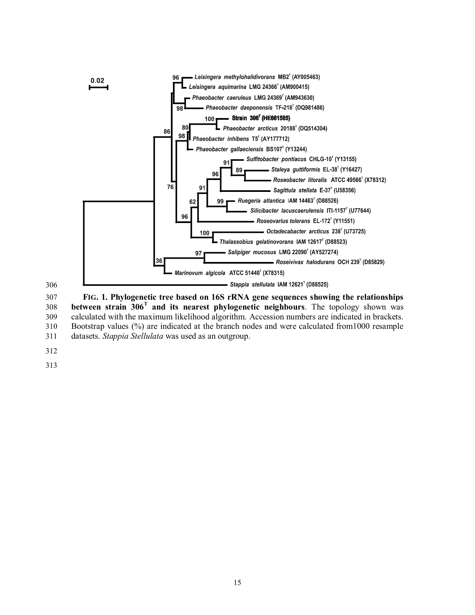



 **FIG. 1. Phylogenetic tree based on 16S rRNA gene sequences showing the relationships**  308 **between strain 306<sup>T</sup> and its nearest phylogenetic neighbours**. The topology shown was calculated with the maximum likelihood algorithm. Accession numbers are indicated in brackets. Bootstrap values (%) are indicated at the branch nodes and were calculated from1000 resample datasets. *Stappia Stellulata* was used as an outgroup.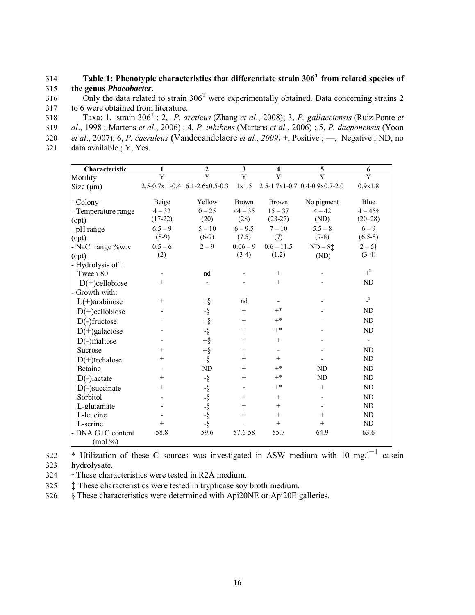**Table 1: Phenotypic characteristics that differentiate strain 306<sup>T</sup>** 314 **from related species of**  315 **the genus** *Phaeobacter***.** 

316 Only the data related to strain  $306<sup>T</sup>$  were experimentally obtained. Data concerning strains 2 317 to 6 were obtained from literature.

Taxa: 1, strain 306<sup>T</sup> 318 ; 2, *P. arcticus* (Zhang *et al*., 2008); 3, *P. gallaeciensis* (Ruiz-Ponte *et al*., 1998 ; Martens *et al*., 2006) ; 4, *P. inhibens* (Martens *et al*., 2006) ; 5, *P. daeponensis* (Yoon *et al*., 2007); 6, *P. caeruleus* **(**Vandecandelaere *et al., 2009)* +, Positive ; —, Negative ; ND, no data available ; Y, Yes.

| Characteristic      | 1                       | $\mathbf{2}$                                 | $\mathbf{3}$ | $\overline{\mathbf{4}}$ | $\mathbf 5$                   | 6                        |
|---------------------|-------------------------|----------------------------------------------|--------------|-------------------------|-------------------------------|--------------------------|
| Motility            | $\overline{\mathrm{Y}}$ | $\overline{\mathrm{Y}}$                      | Ÿ            | $\overline{\mathrm{Y}}$ |                               | $\overline{Y}$           |
| Size (µm)           |                         | $2.5 - 0.7x$ 1-0.4 6.1-2.6x0.5-0.3           | 1x1.5        |                         | 2.5-1.7x1-0.7 0.4-0.9x0.7-2.0 | 0.9x1.8                  |
| - Colony            | Beige                   | Yellow                                       | <b>Brown</b> | <b>Brown</b>            | No pigment                    | Blue                     |
| - Temperature range | $4 - 32$                | $0 - 25$                                     | $<4 - 35$    | $15 - 37$               | $4 - 42$                      | $4 - 45$ †               |
| (opt)               | $(17-22)$               | (20)                                         | (28)         | $(23-27)$               | (ND)                          | $(20 - 28)$              |
| - pH range          | $6.5 - 9$               | $5 - 10$                                     | $6 - 9.5$    | $7 - 10$                | $5.5 - 8$                     | $6 - 9$                  |
| (opt)               | $(8-9)$                 | $(6-9)$                                      | (7.5)        | (7)                     | $(7-8)$                       | $(6.5-8)$                |
| - NaCl range %w:v   | $0.5 - 6$               | $2 - 9$                                      | $0.06 - 9$   | $0.6 - 11.5$            | $ND-8+$                       | $2 - 5$ †                |
| (opt)               | (2)                     |                                              | $(3-4)$      | (1.2)                   | (ND)                          | $(3-4)$                  |
| - Hydrolysis of :   |                         |                                              |              |                         |                               |                          |
| Tween 80            |                         | nd                                           |              | $^{+}$                  |                               | $+$ <sup>\$</sup>        |
| $D(+)$ cellobiose   | $^{+}$                  |                                              |              | $^{+}$                  |                               | ND                       |
| Growth with:        |                         |                                              |              |                         |                               |                          |
| $L(+)$ arabinose    | $^{+}$                  | $+\S$                                        | nd           |                         |                               | $\_s$                    |
| $D(+)$ cellobiose   |                         | $-\S$                                        | $+$          | $\mathrm{+}^*$          |                               | ND                       |
| $D(-)$ fructose     |                         | $+\S$                                        | $+$          | $+^*$                   |                               | $\mbox{\sc ND}$          |
| $D(+)$ galactose    |                         | $-\S$                                        | $+$          | $\mathrm{+^{*}}$        |                               | ND                       |
| $D(-)$ maltose      |                         | $+$ §                                        | $\! +$       | $^{+}$                  |                               | $\overline{\phantom{a}}$ |
| Sucrose             | $^{+}$                  | $+$ §                                        | $^{+}$       |                         |                               | $\rm ND$                 |
| $D(+)$ trehalose    | $^{+}$                  | $-\S$                                        | $\! +$       | $^{+}$                  |                               | $\mbox{\sc ND}$          |
| Betaine             |                         | ND                                           | $^{+}$       | $+^*$                   | ND                            | $\mbox{\sc ND}$          |
| $D(-)$ lactate      | $^{+}$                  | $-\S$                                        | $^+$         | $+^*$                   | ND                            | ND                       |
| $D(-)$ succinate    | $^{+}$                  |                                              |              | $+^*$                   | $+$                           | $\mbox{\sc ND}$          |
| Sorbitol            |                         |                                              | $\! +$       | $^{+}$                  |                               | $\mbox{\sc ND}$          |
| L-glutamate         |                         |                                              | $+$          | $+$                     |                               | ND                       |
| L-leucine           |                         |                                              | $^{+}$       | $^{+}$                  | $+$                           | $\mbox{\sc ND}$          |
| L-serine            | $^{+}$                  | $-8$<br>$-8$<br>$-8$<br>$-8$<br>$-8$<br>$-8$ |              | $^{+}$                  | $+$                           | ND                       |
| - DNA G+C content   | 58.8                    | 59.6                                         | 57.6-58      | 55.7                    | 64.9                          | 63.6                     |
| (mod 96)            |                         |                                              |              |                         |                               |                          |

322 \* Utilization of these C sources was investigated in ASW medium with 10 mg.l<sup>-1</sup> casein

323 hydrolysate.

324 † These characteristics were tested in R2A medium.

325 ‡ These characteristics were tested in trypticase soy broth medium.

326 § These characteristics were determined with Api20NE or Api20E galleries.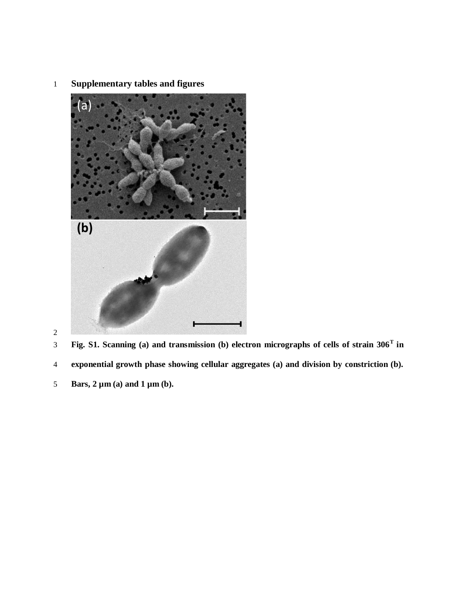**Supplementary tables and figures** 



**exponential growth phase showing cellular aggregates (a) and division by constriction (b).** 

**Bars, 2 µm (a) and 1 µm (b).** 

**Fig. S1. Scanning (a) and transmission (b) electron micrographs of cells of strain 306<sup>T</sup> in**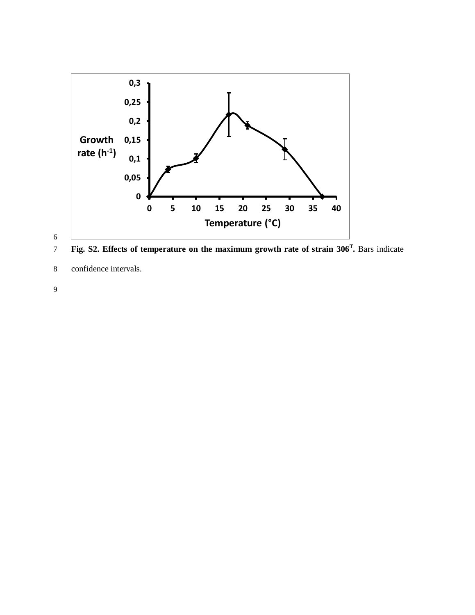

**Fig. S2. Effects of temperature on the maximum growth rate of strain 306<sup>T</sup>** 7 **.** Bars indicate

8 confidence intervals.

9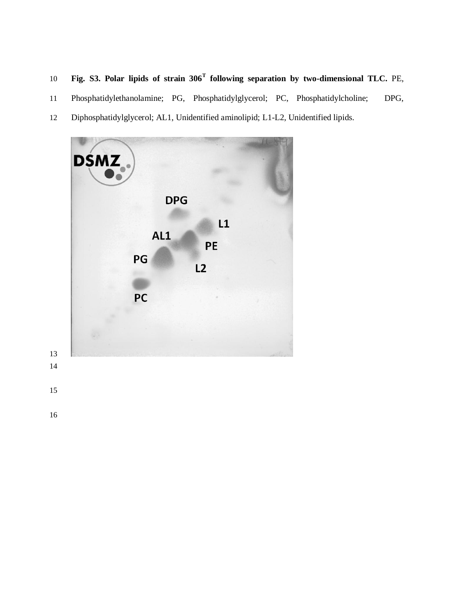- 10 **Fig. S3. Polar lipids of strain 306<sup>T</sup> following separation by two-dimensional TLC. PE,**
- Phosphatidylethanolamine; PG, Phosphatidylglycerol; PC, Phosphatidylcholine; DPG,
- Diphosphatidylglycerol; AL1, Unidentified aminolipid; L1-L2, Unidentified lipids.

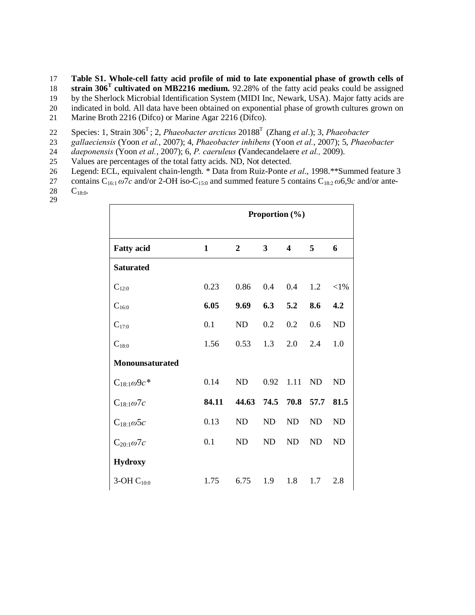- 17 **Table S1. Whole-cell fatty acid profile of mid to late exponential phase of growth cells of**
- 18 **strain 306<sup>T</sup> cultivated on MB2216 medium.** 92.28% of the fatty acid peaks could be assigned
- 19 by the Sherlock Microbial Identification System (MIDI Inc, Newark, USA). Major fatty acids are
- 20 indicated in bold. All data have been obtained on exponential phase of growth cultures grown on
- 21 Marine Broth 2216 (Difco) or Marine Agar 2216 (Difco).
- Species: 1, Strain 306<sup>T</sup>; 2, *Phaeobacter arcticus* 20188<sup>T</sup> (Zhang *et al.*); 3, *Phaeobacter gallaeciensis* (Yoon *et al.*, 2007); 4, *Phaeobacter inhibens* (Yoon *et al.*, 2007); 5, *Phaeo*
- 23 *gallaeciensis* (Yoon *et al.*, 2007); 4, *Phaeobacter inhibens* (Yoon *et al.*, 2007); 5, *Phaeobacter*
- 24 *daeponensis* (Yoon *et al.*, 2007); 6, *P. caeruleus* **(**Vandecandelaere *et al.,* 2009).
- 25 Values are percentages of the total fatty acids. ND, Not detected.
- 26 Legend: ECL, equivalent chain-length. \* Data from Ruiz-Ponte *et al.*, 1998.\*\*Summed feature 3<br>27 contains  $C_{16:1} \omega$ 7*c* and/or 2-OH iso-C<sub>15:0</sub> and summed feature 5 contains  $C_{18:2} \omega$ 6,9*c* and/or ante-
- 27 contains  $C_{16:1} \omega \overline{7}c$  and/or 2-OH iso-C<sub>15:0</sub> and summed feature 5 contains  $C_{18:2} \omega 6.9c$  and/or ante-<br>28  $C_{18:0}$ .
- $C_{18:0}$ . 29

|                      | Proportion $(\% )$ |                  |           |           |           |           |
|----------------------|--------------------|------------------|-----------|-----------|-----------|-----------|
| <b>Fatty acid</b>    | $\mathbf{1}$       | $\boldsymbol{2}$ | 3         | 4         | 5         | 6         |
| <b>Saturated</b>     |                    |                  |           |           |           |           |
| $C_{12:0}$           | 0.23               | 0.86             | 0.4       | 0.4       | 1.2       | ${<}1\%$  |
| $C_{16:0}$           | 6.05               | 9.69             | 6.3       | 5.2       | 8.6       | 4.2       |
| $C_{17:0}$           | 0.1                | ND               | 0.2       | 0.2       | 0.6       | ND        |
| $C_{18:0}$           | 1.56               | 0.53             | 1.3       | 2.0       | 2.4       | 1.0       |
| Monounsaturated      |                    |                  |           |           |           |           |
| $C_{18:1}\omega$ 9c* | 0.14               | <b>ND</b>        | 0.92      | 1.11      | <b>ND</b> | <b>ND</b> |
| $C_{18:1}\omega$ 7c  | 84.11              | 44.63            | 74.5      | 70.8      | 57.7      | 81.5      |
| $C_{18:1}\omega$ 5c  | 0.13               | <b>ND</b>        | ND        | <b>ND</b> | ND        | ND        |
| $C_{20:1}\omega$ 7c  | 0.1                | <b>ND</b>        | <b>ND</b> | ND        | ND        | ND        |
| <b>Hydroxy</b>       |                    |                  |           |           |           |           |
| 3-OH $C_{10:0}$      | 1.75               | 6.75             | 1.9       | 1.8       | 1.7       | 2.8       |